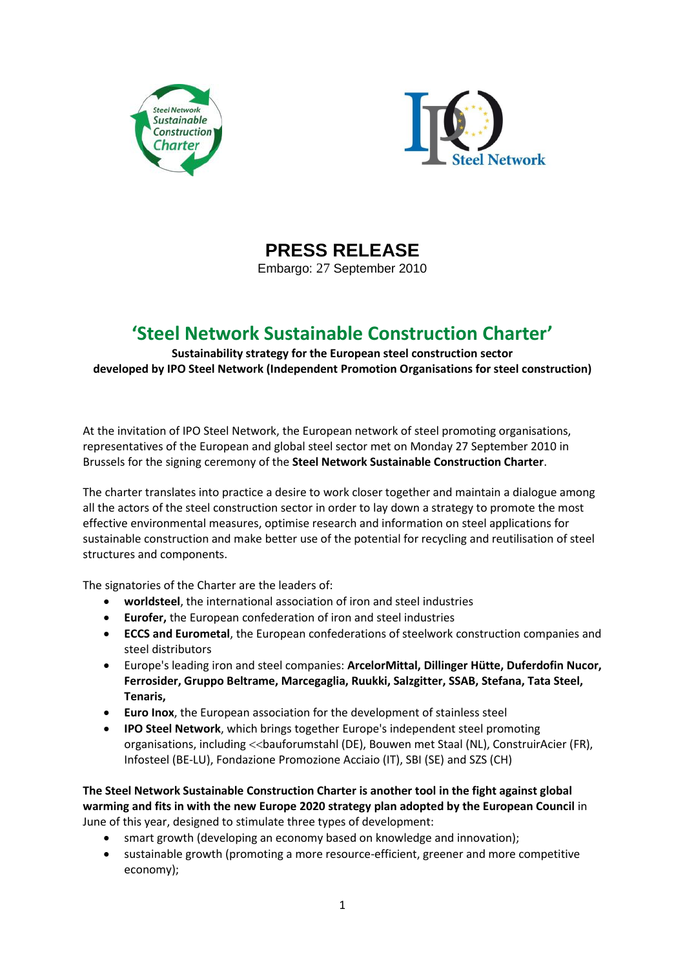



**PRESS RELEASE**

Embargo: 27 September 2010

## **'Steel Network Sustainable Construction Charter'**

**Sustainability strategy for the European steel construction sector developed by IPO Steel Network (Independent Promotion Organisations for steel construction)**

At the invitation of IPO Steel Network, the European network of steel promoting organisations, representatives of the European and global steel sector met on Monday 27 September 2010 in Brussels for the signing ceremony of the **Steel Network Sustainable Construction Charter**.

The charter translates into practice a desire to work closer together and maintain a dialogue among all the actors of the steel construction sector in order to lay down a strategy to promote the most effective environmental measures, optimise research and information on steel applications for sustainable construction and make better use of the potential for recycling and reutilisation of steel structures and components.

The signatories of the Charter are the leaders of:

- **worldsteel**, the international association of iron and steel industries
- **Eurofer,** the European confederation of iron and steel industries
- **ECCS and Eurometal**, the European confederations of steelwork construction companies and steel distributors
- Europe's leading iron and steel companies: **ArcelorMittal, Dillinger Hütte, Duferdofin Nucor, Ferrosider, Gruppo Beltrame, Marcegaglia, Ruukki, Salzgitter, SSAB, Stefana, Tata Steel, Tenaris,**
- **Euro Inox**, the European association for the development of stainless steel
- **IPO Steel Network**, which brings together Europe's independent steel promoting organisations, including << bauforumstahl (DE), Bouwen met Staal (NL), ConstruirAcier (FR), Infosteel (BE-LU), Fondazione Promozione Acciaio (IT), SBI (SE) and SZS (CH)

**The Steel Network Sustainable Construction Charter is another tool in the fight against global warming and fits in with the new Europe 2020 strategy plan adopted by the European Council** in June of this year, designed to stimulate three types of development:

- smart growth (developing an economy based on knowledge and innovation);
- sustainable growth (promoting a more resource-efficient, greener and more competitive economy);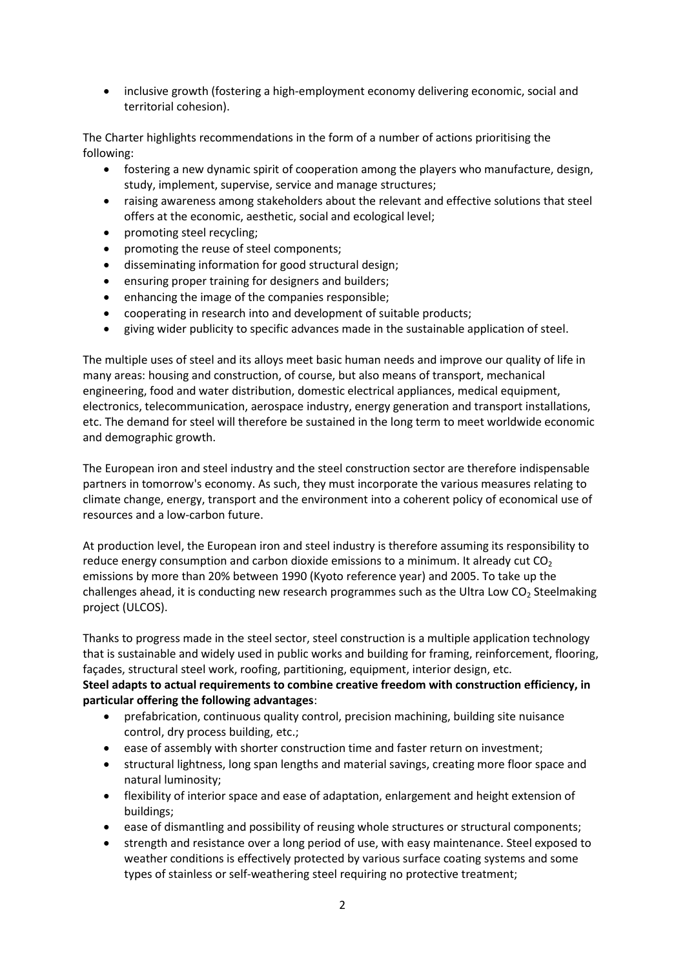• inclusive growth (fostering a high-employment economy delivering economic, social and territorial cohesion).

The Charter highlights recommendations in the form of a number of actions prioritising the following:

- fostering a new dynamic spirit of cooperation among the players who manufacture, design, study, implement, supervise, service and manage structures;
- raising awareness among stakeholders about the relevant and effective solutions that steel offers at the economic, aesthetic, social and ecological level;
- promoting steel recycling;
- promoting the reuse of steel components;
- disseminating information for good structural design;
- ensuring proper training for designers and builders;
- enhancing the image of the companies responsible;
- cooperating in research into and development of suitable products;
- giving wider publicity to specific advances made in the sustainable application of steel.

The multiple uses of steel and its alloys meet basic human needs and improve our quality of life in many areas: housing and construction, of course, but also means of transport, mechanical engineering, food and water distribution, domestic electrical appliances, medical equipment, electronics, telecommunication, aerospace industry, energy generation and transport installations, etc. The demand for steel will therefore be sustained in the long term to meet worldwide economic and demographic growth.

The European iron and steel industry and the steel construction sector are therefore indispensable partners in tomorrow's economy. As such, they must incorporate the various measures relating to climate change, energy, transport and the environment into a coherent policy of economical use of resources and a low-carbon future.

At production level, the European iron and steel industry is therefore assuming its responsibility to reduce energy consumption and carbon dioxide emissions to a minimum. It already cut  $CO<sub>2</sub>$ emissions by more than 20% between 1990 (Kyoto reference year) and 2005. To take up the challenges ahead, it is conducting new research programmes such as the Ultra Low  $CO<sub>2</sub>$  Steelmaking project (ULCOS).

Thanks to progress made in the steel sector, steel construction is a multiple application technology that is sustainable and widely used in public works and building for framing, reinforcement, flooring, façades, structural steel work, roofing, partitioning, equipment, interior design, etc. **Steel adapts to actual requirements to combine creative freedom with construction efficiency, in particular offering the following advantages**:

- prefabrication, continuous quality control, precision machining, building site nuisance control, dry process building, etc.;
- ease of assembly with shorter construction time and faster return on investment;
- structural lightness, long span lengths and material savings, creating more floor space and natural luminosity;
- flexibility of interior space and ease of adaptation, enlargement and height extension of buildings;
- ease of dismantling and possibility of reusing whole structures or structural components;
- strength and resistance over a long period of use, with easy maintenance. Steel exposed to weather conditions is effectively protected by various surface coating systems and some types of stainless or self-weathering steel requiring no protective treatment;